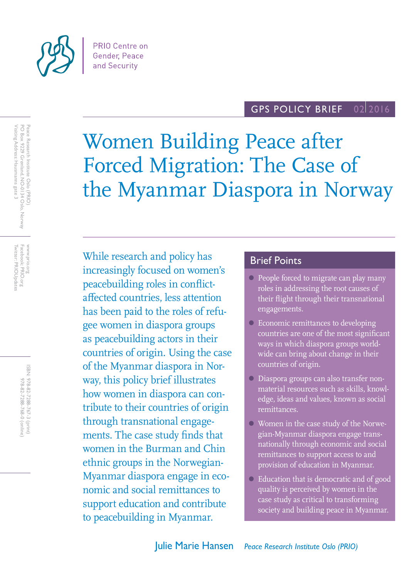

#### GPS POLICY BRIEF 02 2016

Women Building Peace after Forced Migration: The Case of the Myanmar Diaspora in Norway

While research and policy has increasingly focused on women's peacebuilding roles in conflictaffected countries, less attention has been paid to the roles of refugee women in diaspora groups as peacebuilding actors in their countries of origin. Using the case of the Myanmar diaspora in Norway, this policy brief illustrates how women in diaspora can contribute to their countries of origin through transnational engagements. The case study finds that women in the Burman and Chin ethnic groups in the Norwegian-Myanmar diaspora engage in economic and social remittances to support education and contribute to peacebuilding in Myanmar.

# Brief Points

- People forced to migrate can play many roles in addressing the root causes of their flight through their transnational engagements.
- Economic remittances to developing countries are one of the most significant ways in which diaspora groups worldwide can bring about change in their countries of origin.
- Diaspora groups can also transfer nonmaterial resources such as skills, knowledge, ideas and values, known as social remittances.
- Women in the case study of the Norwegian-Myanmar diaspora engage transnationally through economic and social remittances to support access to and provision of education in Myanmar.
- Education that is democratic and of good quality is perceived by women in the case study as critical to transforming society and building peace in Myanmar.

Facebook: PRIO.org<br>Twitter: PRIOUpdates Twitter: PRIOUpdates Facebook: PRIO.org www.prio.org www.prio.org

> ISBN: 978-82-7288-767-3 (print) 978-82-7288-768-0 (online) 978-82-7288-768-0 (online) 978-82-7288-767-3 (print)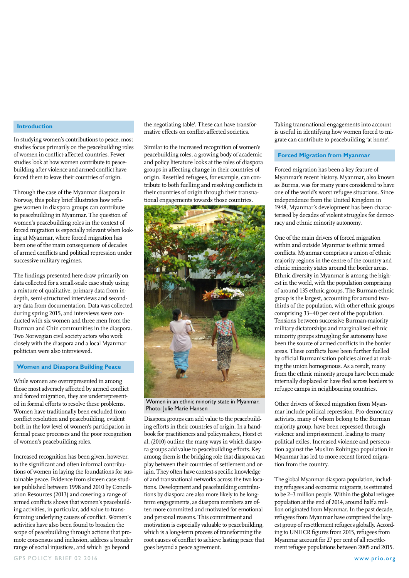#### **Introduction**

In studying women's contributions to peace, most studies focus primarily on the peacebuilding roles of women in conflict-affected countries. Fewer studies look at how women contribute to peacebuilding after violence and armed conflict have forced them to leave their countries of origin.

Through the case of the Myanmar diaspora in Norway, this policy brief illustrates how refugee women in diaspora groups can contribute to peacebuilding in Myanmar. The question of women's peacebuilding roles in the context of forced migration is especially relevant when looking at Myanmar, where forced migration has been one of the main consequences of decades of armed conflicts and political repression under successive military regimes.

The findings presented here draw primarily on data collected for a small-scale case study using a mixture of qualitative, primary data from indepth, semi-structured interviews and secondary data from documentation. Data was collected during spring 2015, and interviews were conducted with six women and three men from the Burman and Chin communities in the diaspora. Two Norwegian civil society actors who work closely with the diaspora and a local Myanmar politician were also interviewed.

#### **Women and Diaspora Building Peace**

While women are overrepresented in among those most adversely affected by armed conflict and forced migration, they are underrepresented in formal efforts to resolve these problems. Women have traditionally been excluded from conflict resolution and peacebuilding, evident both in the low level of women's participation in formal peace processes and the poor recognition of women's peacebuilding roles.

Increased recognition has been given, however, to the significant and often informal contributions of women in laying the foundations for sustainable peace. Evidence from sixteen case studies published between 1998 and 2010 by Conciliation Resources (2013) and covering a range of armed conflicts shows that women's peacebuilding activities, in particular, add value to transforming underlying causes of conflict. Women's activities have also been found to broaden the scope of peacebuilding through actions that promote consensus and inclusion, address a broader range of social injustices, and which 'go beyond

the negotiating table'. These can have transformative effects on conflict-affected societies.

Similar to the increased recognition of women's peacebuilding roles, a growing body of academic and policy literature looks at the roles of diaspora groups in affecting change in their countries of origin. Resettled refugees, for example, can contribute to both fuelling and resolving conflicts in their countries of origin through their transnational engagements towards those countries.



Women in an ethnic minority state in Myanmar. Photo: Julie Marie Hansen

Diaspora groups can add value to the peacebuilding efforts in their countries of origin. In a handbook for practitioners and policymakers, Horst et al. (2010) outline the many ways in which diaspora groups add value to peacebuilding efforts. Key among them is the bridging role that diaspora can play between their countries of settlement and origin. They often have context-specific knowledge of and transnational networks across the two locations. Development and peacebuilding contributions by diaspora are also more likely to be longterm engagements, as diaspora members are often more committed and motivated for emotional and personal reasons. This commitment and motivation is especially valuable to peacebuilding, which is a long-term process of transforming the root causes of conflict to achieve lasting peace that goes beyond a peace agreement.

Taking transnational engagements into account is useful in identifying how women forced to migrate can contribute to peacebuilding 'at home'.

#### **Forced Migration from Myanmar**

Forced migration has been a key feature of Myanmar's recent history. Myanmar, also known as Burma, was for many years considered to have one of the world's worst refugee situations. Since independence from the United Kingdom in 1948, Myanmar's development has been characterised by decades of violent struggles for democracy and ethnic minority autonomy.

One of the main drivers of forced migration within and outside Myanmar is ethnic armed conflicts. Myanmar comprises a union of ethnic majority regions in the centre of the country and ethnic minority states around the border areas. Ethnic diversity in Myanmar is among the highest in the world, with the population comprising of around 135 ethnic groups. The Burman ethnic group is the largest, accounting for around twothirds of the population, with other ethnic groups comprising 33–40 per cent of the population. Tensions between successive Burman-majority military dictatorships and marginalised ethnic minority groups struggling for autonomy have been the source of armed conflicts in the border areas. These conflicts have been further fuelled by official Burmanisation policies aimed at making the union homogenous. As a result, many from the ethnic minority groups have been made internally displaced or have fled across borders to refugee camps in neighbouring countries.

Other drivers of forced migration from Myanmar include political repression. Pro-democracy activists, many of whom belong to the Burman majority group, have been repressed through violence and imprisonment, leading to many political exiles. Increased violence and persecution against the Muslim Rohingya population in Myanmar has led to more recent forced migration from the country.

The global Myanmar diaspora population, including refugees and economic migrants, is estimated to be 2–3 million people. Within the global refugee population at the end of 2014, around half a million originated from Myanmar. In the past decade, refugees from Myanmar have comprised the largest group of resettlement refugees globally. According to UNHCR figures from 2015, refugees from Myanmar account for 27 per cent of all resettlement refugee populations between 2005 and 2015.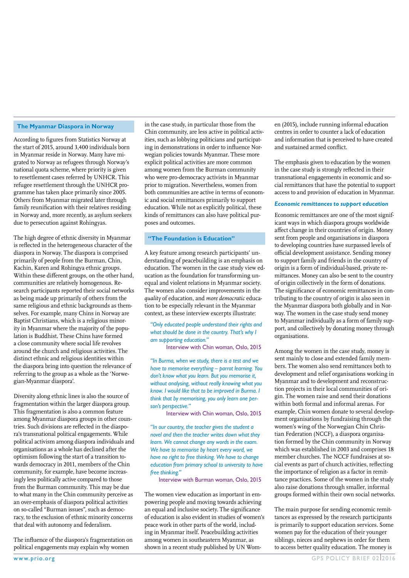#### **The Myanmar Diaspora in Norway**

According to figures from Statistics Norway at the start of 2015, around 3,400 individuals born in Myanmar reside in Norway. Many have migrated to Norway as refugees through Norway's national quota scheme, where priority is given to resettlement cases referred by UNHCR. This refugee resettlement through the UNHCR programme has taken place primarily since 2005. Others from Myanmar migrated later through family reunification with their relatives residing in Norway and, more recently, as asylum seekers due to persecution against Rohingyas.

The high degree of ethnic diversity in Myanmar is reflected in the heterogeneous character of the diaspora in Norway. The diaspora is comprised primarily of people from the Burman, Chin, Kachin, Karen and Rohingya ethnic groups. Within these different groups, on the other hand, communities are relatively homogenous. Research participants reported their social networks as being made up primarily of others from the same religious and ethnic backgrounds as themselves. For example, many Chins in Norway are Baptist Christians, which is a religious minority in Myanmar where the majority of the population is Buddhist. These Chins have formed a close community where social life revolves around the church and religious activities. The distinct ethnic and religious identities within the diaspora bring into question the relevance of referring to the group as a whole as the 'Norwegian-Myanmar diaspora'.

Diversity along ethnic lines is also the source of fragmentation within the larger diaspora group. This fragmentation is also a common feature among Myanmar diaspora groups in other countries. Such divisions are reflected in the diaspora's transnational political engagements. While political activism among diaspora individuals and organisations as a whole has declined after the optimism following the start of a transition towards democracy in 2011, members of the Chin community, for example, have become increasingly less politically active compared to those from the Burman community. This may be due to what many in the Chin community perceive as an over-emphasis of diaspora political activities on so-called "Burman issues", such as democracy, to the exclusion of ethnic minority concerns that deal with autonomy and federalism.

The influence of the diaspora's fragmentation on political engagements may explain why women

in the case study, in particular those from the Chin community, are less active in political activities, such as lobbying politicians and participating in demonstrations in order to influence Norwegian policies towards Myanmar. These more explicit political activities are more common among women from the Burman community who were pro-democracy activists in Myanmar prior to migration. Nevertheless, women from both communities are active in terms of economic and social remittances primarily to support education. While not as explicitly political, these kinds of remittances can also have political purposes and outcomes.

#### **"The Foundation is Education"**

A key feature among research participants' understanding of peacebuilding is an emphasis on education. The women in the case study view education as the foundation for transforming unequal and violent relations in Myanmar society. The women also consider improvements in the *quality* of education, and *more democratic* education to be especially relevant in the Myanmar context, as these interview excerpts illustrate:

*"Only educated people understand their rights and what should be done in the country. That's why I am supporting education."*

Interview with Chin woman, Oslo, 2015

*"In Burma, when we study, there is a test and we have to memorise everything – parrot learning. You don't know what you learn. But you memorise it, without analysing, without really knowing what you know. I would like that to be improved in Burma. I think that by memorising, you only learn one person's perspective."* 

Interview with Chin woman, Oslo, 2015

*"In our country, the teacher gives the student a novel and then the teacher writes down what they learn. We cannot change any words in the exam. We have to memorise by heart every word, we have no right to free thinking. We have to change education from primary school to university to have free thinking."* 

Interview with Burman woman, Oslo, 2015

The women view education as important in empowering people and moving towards achieving an equal and inclusive society. The significance of education is also evident in studies of women's peace work in other parts of the world, including in Myanmar itself. Peacebuilding activities among women in southeastern Myanmar, as shown in a recent study published by UN Women (2015), include running informal education centres in order to counter a lack of education and information that is perceived to have created and sustained armed conflict.

The emphasis given to education by the women in the case study is strongly reflected in their transnational engagements in economic and social remittances that have the potential to support access to and provision of education in Myanmar.

#### *Economic remittances to support education*

Economic remittances are one of the most significant ways in which diaspora groups worldwide affect change in their countries of origin. Money sent from people and organisations in diaspora to developing countries have surpassed levels of official development assistance. Sending money to support family and friends in the country of origin is a form of individual-based, private remittances. Money can also be sent to the country of origin collectively in the form of donations. The significance of economic remittances in contributing to the country of origin is also seen in the Myanmar diaspora both globally and in Norway. The women in the case study send money to Myanmar individually as a form of family support, and collectively by donating money through organisations.

Among the women in the case study, money is sent mainly to close and extended family members. The women also send remittances both to development and relief organisations working in Myanmar and to development and reconstruction projects in their local communities of origin. The women raise and send their donations within both formal and informal arenas. For example, Chin women donate to several development organisations by fundraising through the women's wing of the Norwegian Chin Christian Federation (NCCF), a diaspora organisation formed by the Chin community in Norway which was established in 2003 and comprises 18 member churches. The NCCF fundraises at social events as part of church activities, reflecting the importance of religion as a factor in remittance practices. Some of the women in the study also raise donations through smaller, informal groups formed within their own social networks.

The main purpose for sending economic remittances as expressed by the research participants is primarily to support education services. Some women pay for the education of their younger siblings, nieces and nephews in order for them to access better quality education. The money is